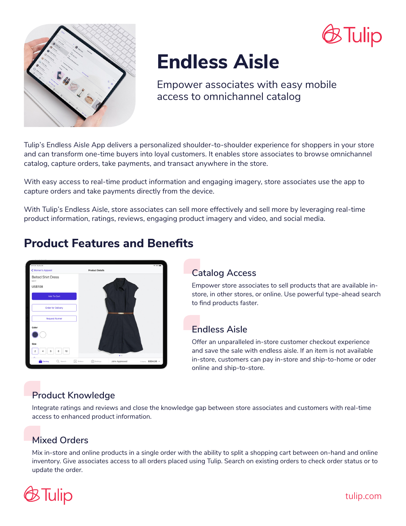



# **Endless Aisle**

Empower associates with easy mobile access to omnichannel catalog

Tulip's Endless Aisle App delivers a personalized shoulder-to-shoulder experience for shoppers in your store and can transform one-time buyers into loyal customers. It enables store associates to browse omnichannel catalog, capture orders, take payments, and transact anywhere in the store.

With easy access to real-time product information and engaging imagery, store associates use the app to capture orders and take payments directly from the device.

With Tulip's Endless Aisle, store associates can sell more effectively and sell more by leveraging real-time product information, ratings, reviews, engaging product imagery and video, and social media.



### **Product Features and Benefits**

### **Catalog Access**

Empower store associates to sell products that are available instore, in other stores, or online. Use powerful type-ahead search to find products faster.

### **Endless Aisle**

Offer an unparalleled in-store customer checkout experience and save the sale with endless aisle. If an item is not available in-store, customers can pay in-store and ship-to-home or oder online and ship-to-store.

### **Product Knowledge**

Integrate ratings and reviews and close the knowledge gap between store associates and customers with real-time access to enhanced product information.

### **Mixed Orders**

Mix in-store and online products in a single order with the ability to split a shopping cart between on-hand and online inventory. Give associates access to all orders placed using Tulip. Search on existing orders to check order status or to update the order.